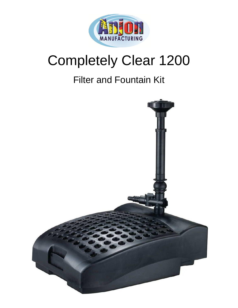

## Completely Clear 1200

## Filter and Fountain Kit

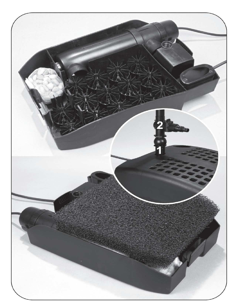